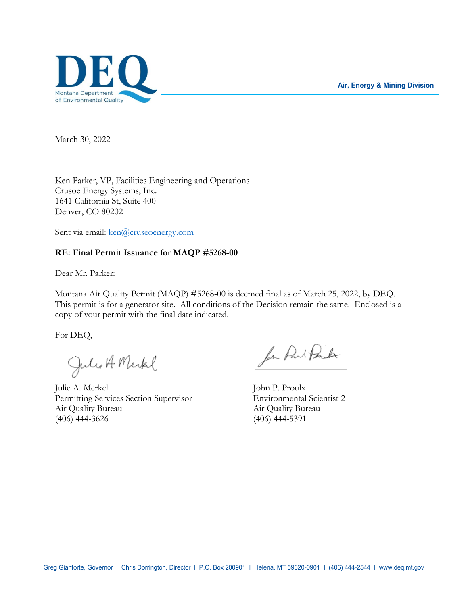**Air, Energy & Mining Division**



March 30, 2022

Ken Parker, VP, Facilities Engineering and Operations Crusoe Energy Systems, Inc. 1641 California St, Suite 400 Denver, CO 80202

Sent via email: ken@cruseoenergy.com

## **RE: Final Permit Issuance for MAQP #5268-00**

Dear Mr. Parker:

Montana Air Quality Permit (MAQP) #5268-00 is deemed final as of March 25, 2022, by DEQ. This permit is for a generator site. All conditions of the Decision remain the same. Enclosed is a copy of your permit with the final date indicated.

For DEQ,

Julio A Merkel

Julie A. Merkel John P. Proulx Permitting Services Section Supervisor Environmental Scientist 2 Air Quality Bureau Air Quality Bureau (406) 444-3626 (406) 444-5391

for Part Proster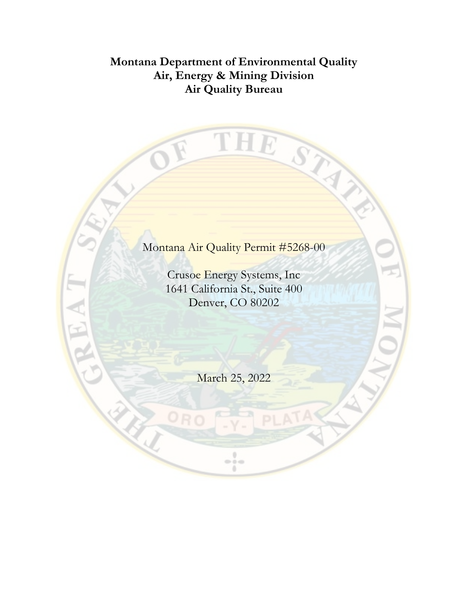# **Montana Department of Environmental Quality Air, Energy & Mining Division Air Quality Bureau**

THE ST **RAN** Y Montana Air Quality Permit #5268-00 Crusoe Energy Systems, Inc 1641 California St., Suite 400 Denver, CO 80202 March 25, 2022 $\frac{1}{2}$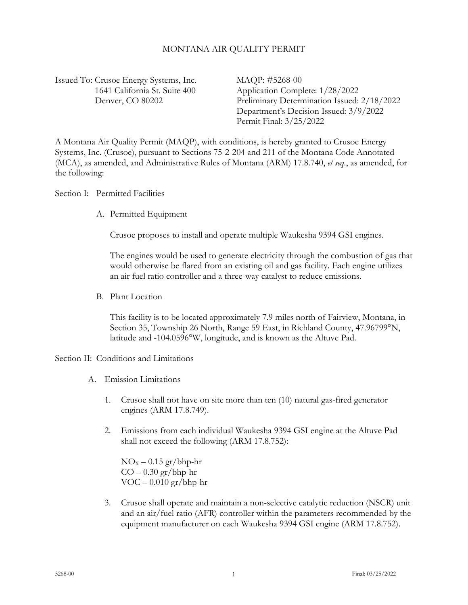# MONTANA AIR QUALITY PERMIT

Issued To: Crusoe Energy Systems, Inc. MAQP: #5268-00

 1641 California St. Suite 400 Application Complete: 1/28/2022 Denver, CO 80202 Preliminary Determination Issued: 2/18/2022 Department's Decision Issued: 3/9/2022 Permit Final: 3/25/2022

A Montana Air Quality Permit (MAQP), with conditions, is hereby granted to Crusoe Energy Systems, Inc. (Crusoe), pursuant to Sections 75-2-204 and 211 of the Montana Code Annotated (MCA), as amended, and Administrative Rules of Montana (ARM) 17.8.740, *et seq*., as amended, for the following:

Section I: Permitted Facilities

A. Permitted Equipment

Crusoe proposes to install and operate multiple Waukesha 9394 GSI engines.

The engines would be used to generate electricity through the combustion of gas that would otherwise be flared from an existing oil and gas facility. Each engine utilizes an air fuel ratio controller and a three-way catalyst to reduce emissions.

B. Plant Location

This facility is to be located approximately 7.9 miles north of Fairview, Montana, in Section 35, Township 26 North, Range 59 East, in Richland County, 47.96799°N, latitude and -104.0596°W, longitude, and is known as the Altuve Pad.

Section II: Conditions and Limitations

- <span id="page-2-1"></span><span id="page-2-0"></span>A. Emission Limitations
	- 1. Crusoe shall not have on site more than ten (10) natural gas-fired generator engines (ARM 17.8.749).
	- 2. Emissions from each individual Waukesha 9394 GSI engine at the Altuve Pad shall not exceed the following (ARM 17.8.752):

 $NO<sub>x</sub> - 0.15$  gr/bhp-hr  $CO - 0.30$  gr/bhp-hr  $VOC - 0.010 gr/bhp-hr$ 

3. Crusoe shall operate and maintain a non-selective catalytic reduction (NSCR) unit and an air/fuel ratio (AFR) controller within the parameters recommended by the equipment manufacturer on each Waukesha 9394 GSI engine (ARM 17.8.752).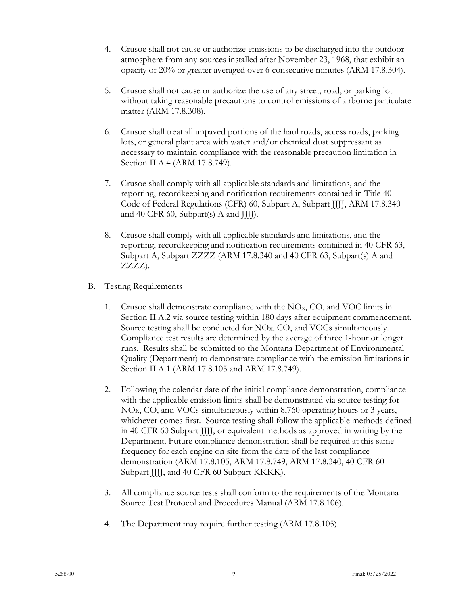- 4. Crusoe shall not cause or authorize emissions to be discharged into the outdoor atmosphere from any sources installed after November 23, 1968, that exhibit an opacity of 20% or greater averaged over 6 consecutive minutes (ARM 17.8.304).
- 5. Crusoe shall not cause or authorize the use of any street, road, or parking lot without taking reasonable precautions to control emissions of airborne particulate matter (ARM 17.8.308).
- 6. Crusoe shall treat all unpaved portions of the haul roads, access roads, parking lots, or general plant area with water and/or chemical dust suppressant as necessary to maintain compliance with the reasonable precaution limitation in Section II.A.4 (ARM 17.8.749).
- 7. Crusoe shall comply with all applicable standards and limitations, and the reporting, recordkeeping and notification requirements contained in Title 40 Code of Federal Regulations (CFR) 60, Subpart A, Subpart JJJJ, ARM 17.8.340 and 40 CFR 60, Subpart(s) A and JJJJ).
- 8. Crusoe shall comply with all applicable standards and limitations, and the reporting, recordkeeping and notification requirements contained in 40 CFR 63, Subpart A, Subpart ZZZZ (ARM 17.8.340 and 40 CFR 63, Subpart(s) A and ZZZZ).
- B. Testing Requirements
	- 1. Crusoe shall demonstrate compliance with the  $NO<sub>x</sub>$ , CO, and VOC limits in Section II.A[.2](#page-2-0) via source testing within 180 days after equipment commencement. Source testing shall be conducted for  $NO<sub>x</sub>$ , CO, and VOCs simultaneously. Compliance test results are determined by the average of three 1-hour or longer runs. Results shall be submitted to the Montana Department of Environmental Quality (Department) to demonstrate compliance with the emission limitations in Section II.A[.1](#page-2-1) (ARM 17.8.105 and ARM 17.8.749).
	- 2. Following the calendar date of the initial compliance demonstration, compliance with the applicable emission limits shall be demonstrated via source testing for NOx, CO, and VOCs simultaneously within 8,760 operating hours or 3 years, whichever comes first. Source testing shall follow the applicable methods defined in 40 CFR 60 Subpart JJJJ, or equivalent methods as approved in writing by the Department. Future compliance demonstration shall be required at this same frequency for each engine on site from the date of the last compliance demonstration (ARM 17.8.105, ARM 17.8.749, ARM 17.8.340, 40 CFR 60 Subpart JJJJ, and 40 CFR 60 Subpart KKKK).
	- 3. All compliance source tests shall conform to the requirements of the Montana Source Test Protocol and Procedures Manual (ARM 17.8.106).
	- 4. The Department may require further testing (ARM 17.8.105).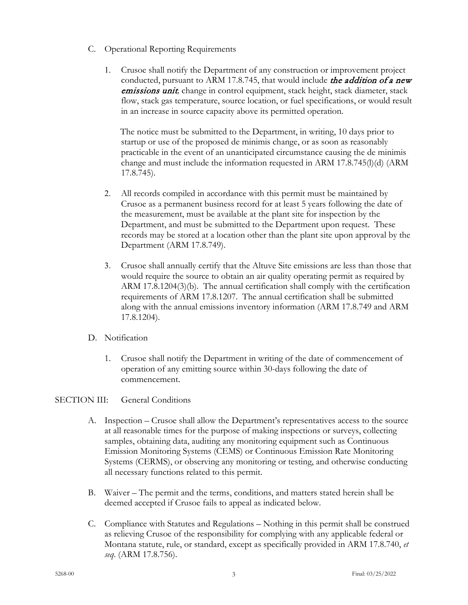- C. Operational Reporting Requirements
	- 1. Crusoe shall notify the Department of any construction or improvement project conducted, pursuant to ARM 17.8.745, that would include *the addition of a new* emissions unit*,* change in control equipment, stack height, stack diameter, stack flow, stack gas temperature, source location, or fuel specifications, or would result in an increase in source capacity above its permitted operation.

The notice must be submitted to the Department, in writing, 10 days prior to startup or use of the proposed de minimis change, or as soon as reasonably practicable in the event of an unanticipated circumstance causing the de minimis change and must include the information requested in ARM 17.8.745(l)(d) (ARM 17.8.745).

- 2. All records compiled in accordance with this permit must be maintained by Crusoe as a permanent business record for at least 5 years following the date of the measurement, must be available at the plant site for inspection by the Department, and must be submitted to the Department upon request. These records may be stored at a location other than the plant site upon approval by the Department (ARM 17.8.749).
- 3. Crusoe shall annually certify that the Altuve Site emissions are less than those that would require the source to obtain an air quality operating permit as required by ARM 17.8.1204(3)(b). The annual certification shall comply with the certification requirements of ARM 17.8.1207. The annual certification shall be submitted along with the annual emissions inventory information (ARM 17.8.749 and ARM 17.8.1204).
- D. Notification
	- 1. Crusoe shall notify the Department in writing of the date of commencement of operation of any emitting source within 30-days following the date of commencement.

# SECTION III: General Conditions

- A. Inspection Crusoe shall allow the Department's representatives access to the source at all reasonable times for the purpose of making inspections or surveys, collecting samples, obtaining data, auditing any monitoring equipment such as Continuous Emission Monitoring Systems (CEMS) or Continuous Emission Rate Monitoring Systems (CERMS), or observing any monitoring or testing, and otherwise conducting all necessary functions related to this permit.
- B. Waiver The permit and the terms, conditions, and matters stated herein shall be deemed accepted if Crusoe fails to appeal as indicated below.
- C. Compliance with Statutes and Regulations Nothing in this permit shall be construed as relieving Crusoe of the responsibility for complying with any applicable federal or Montana statute, rule, or standard, except as specifically provided in ARM 17.8.740, *et seq*. (ARM 17.8.756).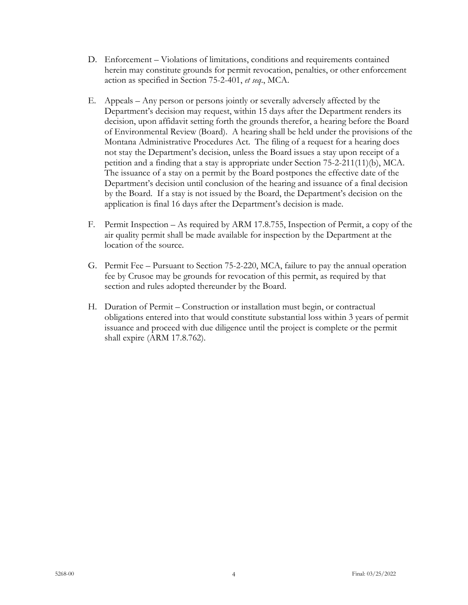- D. Enforcement Violations of limitations, conditions and requirements contained herein may constitute grounds for permit revocation, penalties, or other enforcement action as specified in Section 75-2-401, *et seq*., MCA.
- E. Appeals Any person or persons jointly or severally adversely affected by the Department's decision may request, within 15 days after the Department renders its decision, upon affidavit setting forth the grounds therefor, a hearing before the Board of Environmental Review (Board). A hearing shall be held under the provisions of the Montana Administrative Procedures Act. The filing of a request for a hearing does not stay the Department's decision, unless the Board issues a stay upon receipt of a petition and a finding that a stay is appropriate under Section 75-2-211(11)(b), MCA. The issuance of a stay on a permit by the Board postpones the effective date of the Department's decision until conclusion of the hearing and issuance of a final decision by the Board. If a stay is not issued by the Board, the Department's decision on the application is final 16 days after the Department's decision is made.
- F. Permit Inspection As required by ARM 17.8.755, Inspection of Permit, a copy of the air quality permit shall be made available for inspection by the Department at the location of the source.
- G. Permit Fee Pursuant to Section 75-2-220, MCA, failure to pay the annual operation fee by Crusoe may be grounds for revocation of this permit, as required by that section and rules adopted thereunder by the Board.
- H. Duration of Permit Construction or installation must begin, or contractual obligations entered into that would constitute substantial loss within 3 years of permit issuance and proceed with due diligence until the project is complete or the permit shall expire (ARM 17.8.762).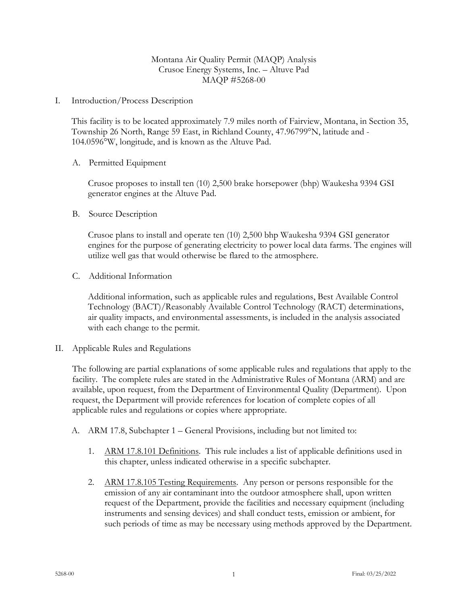# Montana Air Quality Permit (MAQP) Analysis Crusoe Energy Systems, Inc. – Altuve Pad MAQP #5268-00

I. Introduction/Process Description

This facility is to be located approximately 7.9 miles north of Fairview, Montana, in Section 35, Township 26 North, Range 59 East, in Richland County, 47.96799°N, latitude and - 104.0596°W, longitude, and is known as the Altuve Pad.

# A. Permitted Equipment

Crusoe proposes to install ten (10) 2,500 brake horsepower (bhp) Waukesha 9394 GSI generator engines at the Altuve Pad.

B. Source Description

Crusoe plans to install and operate ten (10) 2,500 bhp Waukesha 9394 GSI generator engines for the purpose of generating electricity to power local data farms. The engines will utilize well gas that would otherwise be flared to the atmosphere.

C. Additional Information

Additional information, such as applicable rules and regulations, Best Available Control Technology (BACT)/Reasonably Available Control Technology (RACT) determinations, air quality impacts, and environmental assessments, is included in the analysis associated with each change to the permit.

II. Applicable Rules and Regulations

The following are partial explanations of some applicable rules and regulations that apply to the facility. The complete rules are stated in the Administrative Rules of Montana (ARM) and are available, upon request, from the Department of Environmental Quality (Department). Upon request, the Department will provide references for location of complete copies of all applicable rules and regulations or copies where appropriate.

- A. ARM 17.8, Subchapter 1 General Provisions, including but not limited to:
	- 1. ARM 17.8.101 Definitions. This rule includes a list of applicable definitions used in this chapter, unless indicated otherwise in a specific subchapter.
	- 2. ARM 17.8.105 Testing Requirements. Any person or persons responsible for the emission of any air contaminant into the outdoor atmosphere shall, upon written request of the Department, provide the facilities and necessary equipment (including instruments and sensing devices) and shall conduct tests, emission or ambient, for such periods of time as may be necessary using methods approved by the Department.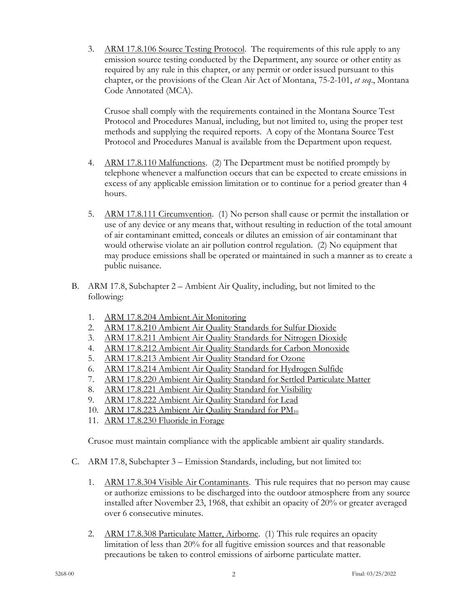3. ARM 17.8.106 Source Testing Protocol. The requirements of this rule apply to any emission source testing conducted by the Department, any source or other entity as required by any rule in this chapter, or any permit or order issued pursuant to this chapter, or the provisions of the Clean Air Act of Montana, 75-2-101, *et seq*., Montana Code Annotated (MCA).

Crusoe shall comply with the requirements contained in the Montana Source Test Protocol and Procedures Manual, including, but not limited to, using the proper test methods and supplying the required reports. A copy of the Montana Source Test Protocol and Procedures Manual is available from the Department upon request.

- 4. ARM 17.8.110 Malfunctions. (2) The Department must be notified promptly by telephone whenever a malfunction occurs that can be expected to create emissions in excess of any applicable emission limitation or to continue for a period greater than 4 hours.
- 5. ARM 17.8.111 Circumvention. (1) No person shall cause or permit the installation or use of any device or any means that, without resulting in reduction of the total amount of air contaminant emitted, conceals or dilutes an emission of air contaminant that would otherwise violate an air pollution control regulation. (2) No equipment that may produce emissions shall be operated or maintained in such a manner as to create a public nuisance.
- B. ARM 17.8, Subchapter 2 Ambient Air Quality, including, but not limited to the following:
	- 1. ARM 17.8.204 Ambient Air Monitoring
	- 2. ARM 17.8.210 Ambient Air Quality Standards for Sulfur Dioxide
	- 3. ARM 17.8.211 Ambient Air Quality Standards for Nitrogen Dioxide
	- 4. ARM 17.8.212 Ambient Air Quality Standards for Carbon Monoxide
	- 5. ARM 17.8.213 Ambient Air Quality Standard for Ozone
	- 6. ARM 17.8.214 Ambient Air Quality Standard for Hydrogen Sulfide
	- 7. ARM 17.8.220 Ambient Air Quality Standard for Settled Particulate Matter
	- 8. ARM 17.8.221 Ambient Air Quality Standard for Visibility
	- 9. ARM 17.8.222 Ambient Air Quality Standard for Lead
	- 10. ARM 17.8.223 Ambient Air Quality Standard for  $PM_{10}$
	- 11. ARM 17.8.230 Fluoride in Forage

Crusoe must maintain compliance with the applicable ambient air quality standards.

- C. ARM 17.8, Subchapter 3 Emission Standards, including, but not limited to:
	- 1. ARM 17.8.304 Visible Air Contaminants. This rule requires that no person may cause or authorize emissions to be discharged into the outdoor atmosphere from any source installed after November 23, 1968, that exhibit an opacity of 20% or greater averaged over 6 consecutive minutes.
	- 2. ARM 17.8.308 Particulate Matter, Airborne. (1) This rule requires an opacity limitation of less than 20% for all fugitive emission sources and that reasonable precautions be taken to control emissions of airborne particulate matter.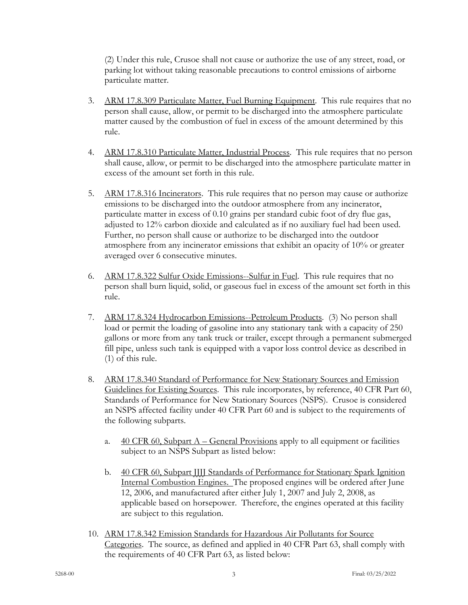(2) Under this rule, Crusoe shall not cause or authorize the use of any street, road, or parking lot without taking reasonable precautions to control emissions of airborne particulate matter.

- 3. ARM 17.8.309 Particulate Matter, Fuel Burning Equipment. This rule requires that no person shall cause, allow, or permit to be discharged into the atmosphere particulate matter caused by the combustion of fuel in excess of the amount determined by this rule.
- 4. ARM 17.8.310 Particulate Matter, Industrial Process. This rule requires that no person shall cause, allow, or permit to be discharged into the atmosphere particulate matter in excess of the amount set forth in this rule.
- 5. ARM 17.8.316 Incinerators. This rule requires that no person may cause or authorize emissions to be discharged into the outdoor atmosphere from any incinerator, particulate matter in excess of 0.10 grains per standard cubic foot of dry flue gas, adjusted to 12% carbon dioxide and calculated as if no auxiliary fuel had been used. Further, no person shall cause or authorize to be discharged into the outdoor atmosphere from any incinerator emissions that exhibit an opacity of 10% or greater averaged over 6 consecutive minutes.
- 6. ARM 17.8.322 Sulfur Oxide Emissions--Sulfur in Fuel. This rule requires that no person shall burn liquid, solid, or gaseous fuel in excess of the amount set forth in this rule.
- 7. ARM 17.8.324 Hydrocarbon Emissions--Petroleum Products. (3) No person shall load or permit the loading of gasoline into any stationary tank with a capacity of 250 gallons or more from any tank truck or trailer, except through a permanent submerged fill pipe, unless such tank is equipped with a vapor loss control device as described in (1) of this rule.
- 8. ARM 17.8.340 Standard of Performance for New Stationary Sources and Emission Guidelines for Existing Sources. This rule incorporates, by reference, 40 CFR Part 60, Standards of Performance for New Stationary Sources (NSPS). Crusoe is considered an NSPS affected facility under 40 CFR Part 60 and is subject to the requirements of the following subparts.
	- a.  $40 \text{ CFR } 60$ , Subpart A General Provisions apply to all equipment or facilities subject to an NSPS Subpart as listed below:
	- b. 40 CFR 60, Subpart JJJJ Standards of Performance for Stationary Spark Ignition Internal Combustion Engines. The proposed engines will be ordered after June 12, 2006, and manufactured after either July 1, 2007 and July 2, 2008, as applicable based on horsepower. Therefore, the engines operated at this facility are subject to this regulation.
- 10. ARM 17.8.342 Emission Standards for Hazardous Air Pollutants for Source Categories. The source, as defined and applied in 40 CFR Part 63, shall comply with the requirements of 40 CFR Part 63, as listed below: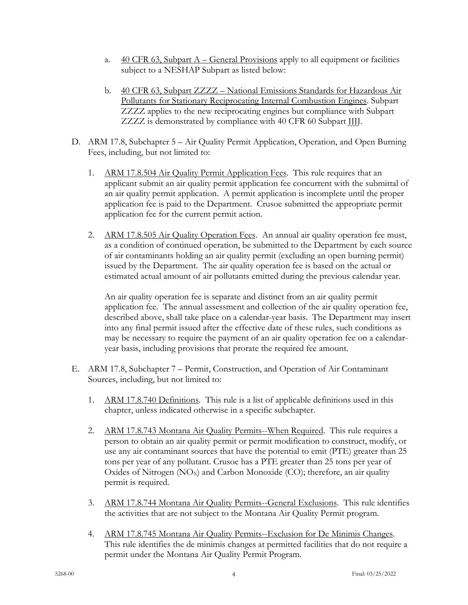- a.  $\frac{40 \text{ CFR } 63, \text{Subpart } A \text{General Provisions apply to all equipment or facilities}}{90 \text{ CFR } 63, \text{Subpart } A \text{General Provisions apply to all equipment or facilities}}$ subject to a NESHAP Subpart as listed below:
- b. 40 CFR 63, Subpart ZZZZ National Emissions Standards for Hazardous Air Pollutants for Stationary Reciprocating Internal Combustion Engines. Subpart ZZZZ applies to the new reciprocating engines but compliance with Subpart ZZZZ is demonstrated by compliance with 40 CFR 60 Subpart JJJJ.
- D. ARM 17.8, Subchapter 5 Air Quality Permit Application, Operation, and Open Burning Fees, including, but not limited to:
	- 1. ARM 17.8.504 Air Quality Permit Application Fees. This rule requires that an applicant submit an air quality permit application fee concurrent with the submittal of an air quality permit application. A permit application is incomplete until the proper application fee is paid to the Department. Crusoe submitted the appropriate permit application fee for the current permit action.
	- 2. ARM 17.8.505 Air Quality Operation Fees. An annual air quality operation fee must, as a condition of continued operation, be submitted to the Department by each source of air contaminants holding an air quality permit (excluding an open burning permit) issued by the Department. The air quality operation fee is based on the actual or estimated actual amount of air pollutants emitted during the previous calendar year.

An air quality operation fee is separate and distinct from an air quality permit application fee. The annual assessment and collection of the air quality operation fee, described above, shall take place on a calendar-year basis. The Department may insert into any final permit issued after the effective date of these rules, such conditions as may be necessary to require the payment of an air quality operation fee on a calendaryear basis, including provisions that prorate the required fee amount.

- E. ARM 17.8, Subchapter 7 Permit, Construction, and Operation of Air Contaminant Sources, including, but not limited to:
	- 1. ARM 17.8.740 Definitions. This rule is a list of applicable definitions used in this chapter, unless indicated otherwise in a specific subchapter.
	- 2. ARM 17.8.743 Montana Air Quality Permits--When Required. This rule requires a person to obtain an air quality permit or permit modification to construct, modify, or use any air contaminant sources that have the potential to emit (PTE) greater than 25 tons per year of any pollutant. Crusoe has a PTE greater than 25 tons per year of Oxides of Nitrogen  $(NO<sub>X</sub>)$  and Carbon Monoxide  $(CO)$ ; therefore, an air quality permit is required.
	- 3. ARM 17.8.744 Montana Air Quality Permits--General Exclusions. This rule identifies the activities that are not subject to the Montana Air Quality Permit program.
	- 4. ARM 17.8.745 Montana Air Quality Permits--Exclusion for De Minimis Changes. This rule identifies the de minimis changes at permitted facilities that do not require a permit under the Montana Air Quality Permit Program.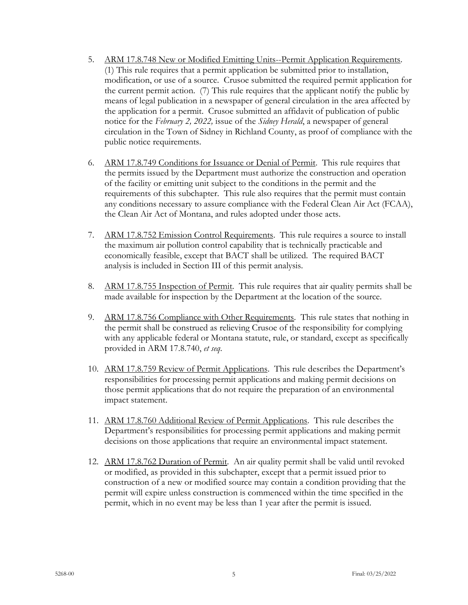- 5. ARM 17.8.748 New or Modified Emitting Units--Permit Application Requirements. (1) This rule requires that a permit application be submitted prior to installation, modification, or use of a source. Crusoe submitted the required permit application for the current permit action. (7) This rule requires that the applicant notify the public by means of legal publication in a newspaper of general circulation in the area affected by the application for a permit. Crusoe submitted an affidavit of publication of public notice for the *February 2, 2022,* issue of the *Sidney Herald*, a newspaper of general circulation in the Town of Sidney in Richland County, as proof of compliance with the public notice requirements.
- 6. ARM 17.8.749 Conditions for Issuance or Denial of Permit. This rule requires that the permits issued by the Department must authorize the construction and operation of the facility or emitting unit subject to the conditions in the permit and the requirements of this subchapter. This rule also requires that the permit must contain any conditions necessary to assure compliance with the Federal Clean Air Act (FCAA), the Clean Air Act of Montana, and rules adopted under those acts.
- 7. ARM 17.8.752 Emission Control Requirements. This rule requires a source to install the maximum air pollution control capability that is technically practicable and economically feasible, except that BACT shall be utilized. The required BACT analysis is included in Section III of this permit analysis.
- 8. ARM 17.8.755 Inspection of Permit. This rule requires that air quality permits shall be made available for inspection by the Department at the location of the source.
- 9. ARM 17.8.756 Compliance with Other Requirements. This rule states that nothing in the permit shall be construed as relieving Crusoe of the responsibility for complying with any applicable federal or Montana statute, rule, or standard, except as specifically provided in ARM 17.8.740, *et seq*.
- 10. ARM 17.8.759 Review of Permit Applications. This rule describes the Department's responsibilities for processing permit applications and making permit decisions on those permit applications that do not require the preparation of an environmental impact statement.
- 11. ARM 17.8.760 Additional Review of Permit Applications. This rule describes the Department's responsibilities for processing permit applications and making permit decisions on those applications that require an environmental impact statement.
- 12. ARM 17.8.762 Duration of Permit. An air quality permit shall be valid until revoked or modified, as provided in this subchapter, except that a permit issued prior to construction of a new or modified source may contain a condition providing that the permit will expire unless construction is commenced within the time specified in the permit, which in no event may be less than 1 year after the permit is issued.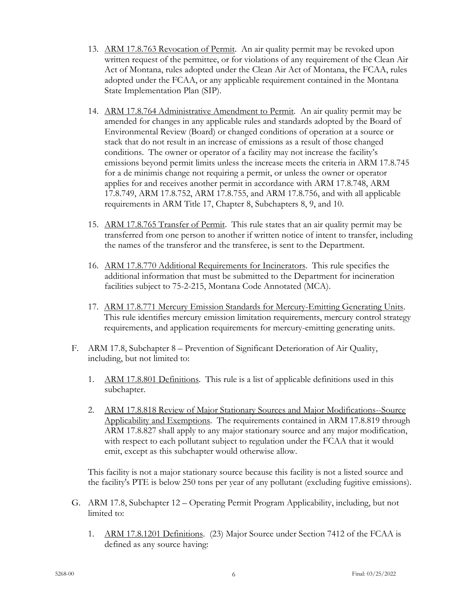- 13. ARM 17.8.763 Revocation of Permit. An air quality permit may be revoked upon written request of the permittee, or for violations of any requirement of the Clean Air Act of Montana, rules adopted under the Clean Air Act of Montana, the FCAA, rules adopted under the FCAA, or any applicable requirement contained in the Montana State Implementation Plan (SIP).
- 14. ARM 17.8.764 Administrative Amendment to Permit. An air quality permit may be amended for changes in any applicable rules and standards adopted by the Board of Environmental Review (Board) or changed conditions of operation at a source or stack that do not result in an increase of emissions as a result of those changed conditions. The owner or operator of a facility may not increase the facility's emissions beyond permit limits unless the increase meets the criteria in ARM 17.8.745 for a de minimis change not requiring a permit, or unless the owner or operator applies for and receives another permit in accordance with ARM 17.8.748, ARM 17.8.749, ARM 17.8.752, ARM 17.8.755, and ARM 17.8.756, and with all applicable requirements in ARM Title 17, Chapter 8, Subchapters 8, 9, and 10.
- 15. ARM 17.8.765 Transfer of Permit. This rule states that an air quality permit may be transferred from one person to another if written notice of intent to transfer, including the names of the transferor and the transferee, is sent to the Department.
- 16. ARM 17.8.770 Additional Requirements for Incinerators. This rule specifies the additional information that must be submitted to the Department for incineration facilities subject to 75-2-215, Montana Code Annotated (MCA).
- 17. ARM 17.8.771 Mercury Emission Standards for Mercury-Emitting Generating Units. This rule identifies mercury emission limitation requirements, mercury control strategy requirements, and application requirements for mercury-emitting generating units.
- F. ARM 17.8, Subchapter 8 Prevention of Significant Deterioration of Air Quality, including, but not limited to:
	- 1. ARM 17.8.801 Definitions. This rule is a list of applicable definitions used in this subchapter.
	- 2. ARM 17.8.818 Review of Major Stationary Sources and Major Modifications--Source Applicability and Exemptions. The requirements contained in ARM 17.8.819 through ARM 17.8.827 shall apply to any major stationary source and any major modification, with respect to each pollutant subject to regulation under the FCAA that it would emit, except as this subchapter would otherwise allow.

This facility is not a major stationary source because this facility is not a listed source and the facility's PTE is below 250 tons per year of any pollutant (excluding fugitive emissions).

- G. ARM 17.8, Subchapter 12 Operating Permit Program Applicability, including, but not limited to:
	- 1. ARM 17.8.1201 Definitions. (23) Major Source under Section 7412 of the FCAA is defined as any source having: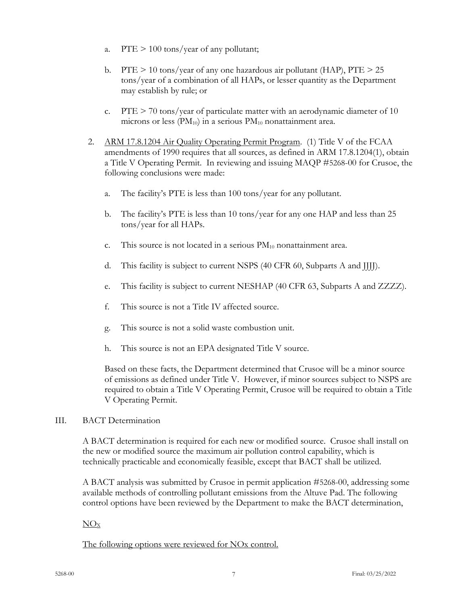- a.  $PTE > 100$  tons/year of any pollutant;
- b. PTE  $> 10$  tons/year of any one hazardous air pollutant (HAP), PTE  $> 25$ tons/year of a combination of all HAPs, or lesser quantity as the Department may establish by rule; or
- c. PTE  $> 70$  tons/year of particulate matter with an aerodynamic diameter of 10 microns or less  $(PM_{10})$  in a serious  $PM_{10}$  nonattainment area.
- 2. ARM 17.8.1204 Air Quality Operating Permit Program. (1) Title V of the FCAA amendments of 1990 requires that all sources, as defined in ARM 17.8.1204(1), obtain a Title V Operating Permit. In reviewing and issuing MAQP #5268-00 for Crusoe, the following conclusions were made:
	- a. The facility's PTE is less than 100 tons/year for any pollutant.
	- b. The facility's PTE is less than 10 tons/year for any one HAP and less than 25 tons/year for all HAPs.
	- c. This source is not located in a serious  $PM_{10}$  nonattainment area.
	- d. This facility is subject to current NSPS (40 CFR 60, Subparts A and JJJJ).
	- e. This facility is subject to current NESHAP (40 CFR 63, Subparts A and ZZZZ).
	- f. This source is not a Title IV affected source.
	- g. This source is not a solid waste combustion unit.
	- h. This source is not an EPA designated Title V source.

Based on these facts, the Department determined that Crusoe will be a minor source of emissions as defined under Title V. However, if minor sources subject to NSPS are required to obtain a Title V Operating Permit, Crusoe will be required to obtain a Title V Operating Permit.

III. BACT Determination

A BACT determination is required for each new or modified source. Crusoe shall install on the new or modified source the maximum air pollution control capability, which is technically practicable and economically feasible, except that BACT shall be utilized.

A BACT analysis was submitted by Crusoe in permit application #5268-00, addressing some available methods of controlling pollutant emissions from the Altuve Pad. The following control options have been reviewed by the Department to make the BACT determination,

# $NO<sub>X</sub>$

The following options were reviewed for NO<sub>x</sub> control.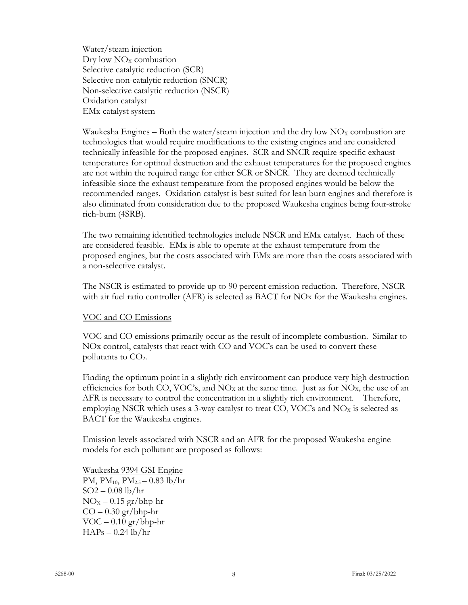Water/steam injection  $Dry$  low  $NO<sub>X</sub>$  combustion Selective catalytic reduction (SCR) Selective non-catalytic reduction (SNCR) Non-selective catalytic reduction (NSCR) Oxidation catalyst EMx catalyst system

Waukesha Engines – Both the water/steam injection and the dry low  $NO<sub>x</sub>$  combustion are technologies that would require modifications to the existing engines and are considered technically infeasible for the proposed engines. SCR and SNCR require specific exhaust temperatures for optimal destruction and the exhaust temperatures for the proposed engines are not within the required range for either SCR or SNCR. They are deemed technically infeasible since the exhaust temperature from the proposed engines would be below the recommended ranges. Oxidation catalyst is best suited for lean burn engines and therefore is also eliminated from consideration due to the proposed Waukesha engines being four-stroke rich-burn (4SRB).

The two remaining identified technologies include NSCR and EMx catalyst. Each of these are considered feasible. EMx is able to operate at the exhaust temperature from the proposed engines, but the costs associated with EMx are more than the costs associated with a non-selective catalyst.

The NSCR is estimated to provide up to 90 percent emission reduction. Therefore, NSCR with air fuel ratio controller (AFR) is selected as BACT for NOx for the Waukesha engines.

# VOC and CO Emissions

VOC and CO emissions primarily occur as the result of incomplete combustion. Similar to NOx control, catalysts that react with CO and VOC's can be used to convert these pollutants to  $CO<sub>2</sub>$ .

Finding the optimum point in a slightly rich environment can produce very high destruction efficiencies for both CO, VOC's, and  $NO<sub>X</sub>$  at the same time. Just as for  $NO<sub>X</sub>$ , the use of an AFR is necessary to control the concentration in a slightly rich environment. Therefore, employing NSCR which uses a 3-way catalyst to treat CO, VOC's and  $NO<sub>X</sub>$  is selected as BACT for the Waukesha engines.

Emission levels associated with NSCR and an AFR for the proposed Waukesha engine models for each pollutant are proposed as follows:

Waukesha 9394 GSI Engine PM,  $PM_{10}$ ,  $PM_{2.5} - 0.83$  lb/hr SO2 – 0.08 lb/hr  $NO<sub>X</sub> - 0.15$  gr/bhp-hr  $CO - 0.30$  gr/bhp-hr  $VOC - 0.10 \text{ gr}/\text{bhp-hr}$  $HAPs - 0.24$  lb/hr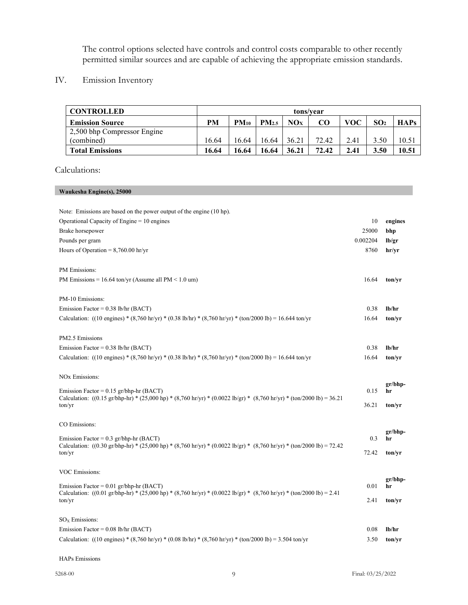The control options selected have controls and control costs comparable to other recently permitted similar sources and are capable of achieving the appropriate emission standards.

# IV. Emission Inventory

| <b>CONTROLLED</b>           | tons/vear |           |                   |       |       |      |                 |             |
|-----------------------------|-----------|-----------|-------------------|-------|-------|------|-----------------|-------------|
| <b>Emission Source</b>      | <b>PM</b> | $PM_{10}$ | PM <sub>2.5</sub> | NOx   | CO    | VOC  | SO <sub>2</sub> | <b>HAPs</b> |
| 2,500 bhp Compressor Engine |           |           |                   |       |       |      |                 |             |
| (combined)                  | 16.64     | 16.64     | 16.64             | 36.21 | 72.42 | 2.41 | 3.50            | 10.51       |
| <b>Total Emissions</b>      | 16.64     | 16.64     | 16.64             | 36.21 | 72.42 | 2.41 | 3.50            | 10.51       |

## Calculations:

## **Waukesha Engine(s), 25000**

| Note: Emissions are based on the power output of the engine (10 hp).                                                                                                                    |          |                 |
|-----------------------------------------------------------------------------------------------------------------------------------------------------------------------------------------|----------|-----------------|
| Operational Capacity of Engine $= 10$ engines                                                                                                                                           | 10       | engines         |
| Brake horsepower                                                                                                                                                                        | 25000    | bhp             |
| Pounds per gram                                                                                                                                                                         | 0.002204 | lb/gr           |
| Hours of Operation = $8,760.00$ hr/yr                                                                                                                                                   | 8760     | hr/yr           |
| <b>PM</b> Emissions:                                                                                                                                                                    |          |                 |
| PM Emissions = $16.64$ ton/yr (Assume all PM < $1.0$ um)                                                                                                                                | 16.64    | ton/yr          |
| PM-10 Emissions:                                                                                                                                                                        |          |                 |
| Emission Factor = $0.38$ lb/hr (BACT)                                                                                                                                                   | 0.38     | lb/hr           |
| Calculation: ((10 engines) * (8,760 hr/yr) * (0.38 lb/hr) * (8,760 hr/yr) * (ton/2000 lb) = 16.644 ton/yr                                                                               | 16.64    | ton/vr          |
| PM2.5 Emissions                                                                                                                                                                         |          |                 |
| Emission Factor = $0.38$ lb/hr (BACT)                                                                                                                                                   | 0.38     | lb/hr           |
| Calculation: ((10 engines) * (8,760 hr/yr) * (0.38 lb/hr) * (8,760 hr/yr) * (ton/2000 lb) = 16.644 ton/yr                                                                               | 16.64    | ton/yr          |
| NO <sub>x</sub> Emissions:                                                                                                                                                              |          |                 |
| Emission Factor = $0.15$ gr/bhp-hr (BACT)                                                                                                                                               | 0.15     | $gr/bhp-$<br>hr |
| Calculation: $((0.15 \text{ gr/bhp-hr}) * (25,000 \text{ hp}) * (8,760 \text{ hr/yr}) * (0.0022 \text{ lb/gr}) * (8,760 \text{ hr/yr}) * (ton/2000 \text{ lb}) = 36.21$<br>ton/yr       | 36.21    | ton/yr          |
| CO Emissions:                                                                                                                                                                           |          |                 |
| Emission Factor = $0.3$ gr/bhp-hr (BACT)                                                                                                                                                | 0.3      | $gr/bhp-$<br>hr |
| Calculation: $((0.30 \text{ gr/bhp-hr}) * (25,000 \text{ hp}) * (8,760 \text{ hr/yr}) * (0.0022 \text{ lb/gr}) * (8,760 \text{ hr/yr}) * (ton/2000 \text{ lb}) = 72.42$                 |          |                 |
| ton/yr                                                                                                                                                                                  | 72.42    | ton/yr          |
| VOC Emissions:                                                                                                                                                                          |          |                 |
| Emission Factor = $0.01$ gr/bhp-hr (BACT)                                                                                                                                               | 0.01     | $gr/bhp-$<br>hr |
| Calculation: $((0.01 \text{ gr/bhp-hr}) * (25,000 \text{ hp}) * (8,760 \text{ hr/yr}) * (0.0022 \text{ lb/gr}) * (8,760 \text{ hr/yr}) * (\text{ton}/2000 \text{ lb}) = 2.41$<br>ton/yr | 2.41     | ton/yr          |
| $SOx$ Emissions:                                                                                                                                                                        |          |                 |
| Emission Factor = $0.08$ lb/hr (BACT)                                                                                                                                                   | 0.08     | lb/hr           |
| Calculation: ((10 engines) * (8,760 hr/yr) * (0.08 lb/hr) * (8,760 hr/yr) * (ton/2000 lb) = 3.504 ton/yr                                                                                | 3.50     | ton/yr          |
|                                                                                                                                                                                         |          |                 |

#### HAPs Emissions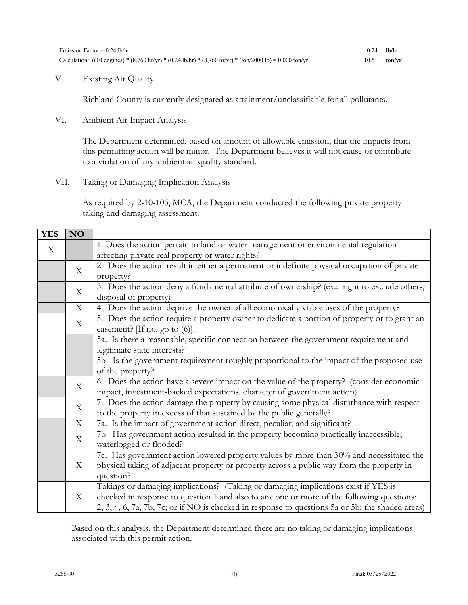V. Existing Air Quality

Richland County is currently designated as attainment/unclassifiable for all pollutants.

VI. Ambient Air Impact Analysis

The Department determined, based on amount of allowable emission, that the impacts from this permitting action will be minor. The Department believes it will not cause or contribute to a violation of any ambient air quality standard.

VII. Taking or Damaging Implication Analysis

As required by 2-10-105, MCA, the Department conducted the following private property taking and damaging assessment.

| <b>YES</b>   | <b>NO</b>   |                                                                                                  |
|--------------|-------------|--------------------------------------------------------------------------------------------------|
| $\mathbf{X}$ |             | 1. Does the action pertain to land or water management or environmental regulation               |
|              |             | affecting private real property or water rights?                                                 |
|              | X           | 2. Does the action result in either a permanent or indefinite physical occupation of private     |
|              |             | property?                                                                                        |
|              | X           | 3. Does the action deny a fundamental attribute of ownership? (ex.: right to exclude others,     |
|              |             | disposal of property)                                                                            |
|              | $\mathbf X$ | 4. Does the action deprive the owner of all economically viable uses of the property?            |
|              | $\mathbf X$ | 5. Does the action require a property owner to dedicate a portion of property or to grant an     |
|              |             | easement? [If no, go to $(6)$ ].                                                                 |
|              |             | 5a. Is there a reasonable, specific connection between the government requirement and            |
|              |             | legitimate state interests?                                                                      |
|              |             | 5b. Is the government requirement roughly proportional to the impact of the proposed use         |
|              |             | of the property?                                                                                 |
|              | X           | 6. Does the action have a severe impact on the value of the property? (consider economic         |
|              |             | impact, investment-backed expectations, character of government action)                          |
|              | X           | 7. Does the action damage the property by causing some physical disturbance with respect         |
|              |             | to the property in excess of that sustained by the public generally?                             |
|              | X           | 7a. Is the impact of government action direct, peculiar, and significant?                        |
|              | X           | 7b. Has government action resulted in the property becoming practically inaccessible,            |
|              |             | waterlogged or flooded?                                                                          |
|              | X           | 7c. Has government action lowered property values by more than 30% and necessitated the          |
|              |             | physical taking of adjacent property or property across a public way from the property in        |
|              |             | question?                                                                                        |
|              | X           | Takings or damaging implications? (Taking or damaging implications exist if YES is               |
|              |             | checked in response to question 1 and also to any one or more of the following questions:        |
|              |             | 2, 3, 4, 6, 7a, 7b, 7c; or if NO is checked in response to questions 5a or 5b; the shaded areas) |

Based on this analysis, the Department determined there are no taking or damaging implications associated with this permit action.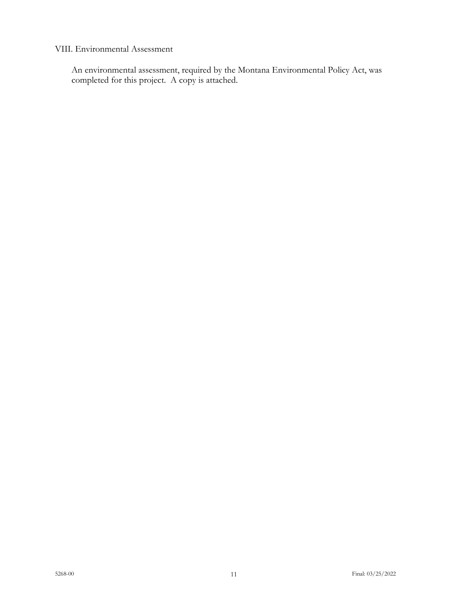## VIII. Environmental Assessment

An environmental assessment, required by the Montana Environmental Policy Act, was completed for this project. A copy is attached.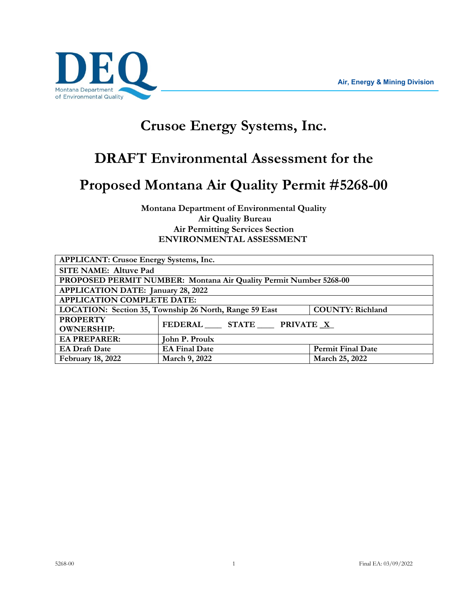

# **Crusoe Energy Systems, Inc.**

# **DRAFT Environmental Assessment for the**

# **Proposed Montana Air Quality Permit #5268-00**

**Montana Department of Environmental Quality Air Quality Bureau Air Permitting Services Section ENVIRONMENTAL ASSESSMENT**

| <b>APPLICANT: Crusoe Energy Systems, Inc.</b>                                     |                         |                          |  |  |
|-----------------------------------------------------------------------------------|-------------------------|--------------------------|--|--|
| <b>SITE NAME: Altuve Pad</b>                                                      |                         |                          |  |  |
| PROPOSED PERMIT NUMBER: Montana Air Quality Permit Number 5268-00                 |                         |                          |  |  |
| APPLICATION DATE: January 28, 2022                                                |                         |                          |  |  |
| <b>APPLICATION COMPLETE DATE:</b>                                                 |                         |                          |  |  |
| <b>COUNTY: Richland</b><br>LOCATION: Section 35, Township 26 North, Range 59 East |                         |                          |  |  |
| <b>PROPERTY</b>                                                                   | FEDERAL STATE PRIVATE X |                          |  |  |
| <b>OWNERSHIP:</b>                                                                 |                         |                          |  |  |
| <b>EA PREPARER:</b>                                                               | John P. Proulx          |                          |  |  |
| <b>EA Draft Date</b>                                                              | <b>EA Final Date</b>    | <b>Permit Final Date</b> |  |  |
| <b>February 18, 2022</b>                                                          | March 9, 2022           | March 25, 2022           |  |  |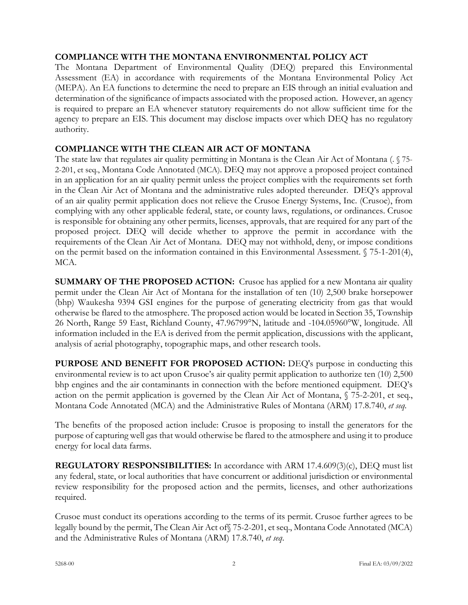# **COMPLIANCE WITH THE MONTANA ENVIRONMENTAL POLICY ACT**

The Montana Department of Environmental Quality (DEQ) prepared this Environmental Assessment (EA) in accordance with requirements of the Montana Environmental Policy Act (MEPA). An EA functions to determine the need to prepare an EIS through an initial evaluation and determination of the significance of impacts associated with the proposed action. However, an agency is required to prepare an EA whenever statutory requirements do not allow sufficient time for the agency to prepare an EIS. This document may disclose impacts over which DEQ has no regulatory authority.

# **COMPLIANCE WITH THE CLEAN AIR ACT OF MONTANA**

The state law that regulates air quality permitting in Montana is the Clean Air Act of Montana (. § 75- 2-201, et seq., Montana Code Annotated (MCA). DEQ may not approve a proposed project contained in an application for an air quality permit unless the project complies with the requirements set forth in the Clean Air Act of Montana and the administrative rules adopted thereunder. DEQ's approval of an air quality permit application does not relieve the Crusoe Energy Systems, Inc. (Crusoe), from complying with any other applicable federal, state, or county laws, regulations, or ordinances. Crusoe is responsible for obtaining any other permits, licenses, approvals, that are required for any part of the proposed project. DEQ will decide whether to approve the permit in accordance with the requirements of the Clean Air Act of Montana. DEQ may not withhold, deny, or impose conditions on the permit based on the information contained in this Environmental Assessment. § 75-1-201(4), MCA.

**SUMMARY OF THE PROPOSED ACTION:** Crusoe has applied for a new Montana air quality permit under the Clean Air Act of Montana for the installation of ten (10) 2,500 brake horsepower (bhp) Waukesha 9394 GSI engines for the purpose of generating electricity from gas that would otherwise be flared to the atmosphere. The proposed action would be located in Section 35, Township 26 North, Range 59 East, Richland County, 47.96799°N, latitude and -104.05960°W, longitude. All information included in the EA is derived from the permit application, discussions with the applicant, analysis of aerial photography, topographic maps, and other research tools.

**PURPOSE AND BENEFIT FOR PROPOSED ACTION:** DEQ's purpose in conducting this environmental review is to act upon Crusoe's air quality permit application to authorize ten (10) 2,500 bhp engines and the air contaminants in connection with the before mentioned equipment. DEQ's action on the permit application is governed by the Clean Air Act of Montana, § 75-2-201, et seq., Montana Code Annotated (MCA) and the Administrative Rules of Montana (ARM) 17.8.740, *et seq.*

The benefits of the proposed action include: Crusoe is proposing to install the generators for the purpose of capturing well gas that would otherwise be flared to the atmosphere and using it to produce energy for local data farms.

**REGULATORY RESPONSIBILITIES:** In accordance with ARM 17.4.609(3)(c), DEQ must list any federal, state, or local authorities that have concurrent or additional jurisdiction or environmental review responsibility for the proposed action and the permits, licenses, and other authorizations required.

Crusoe must conduct its operations according to the terms of its permit. Crusoe further agrees to be legally bound by the permit, The Clean Air Act of§ 75-2-201, et seq., Montana Code Annotated (MCA) and the Administrative Rules of Montana (ARM) 17.8.740, *et seq*.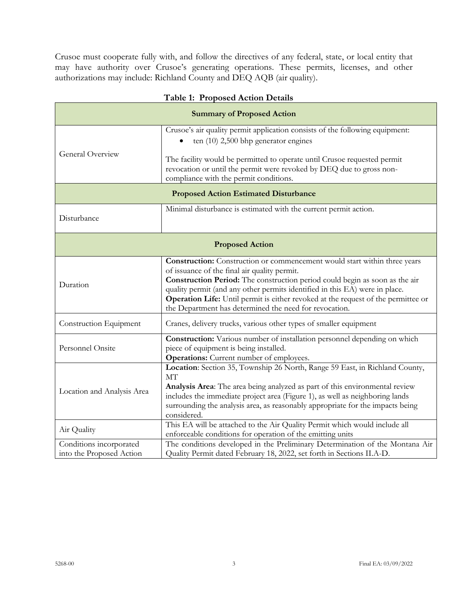Crusoe must cooperate fully with, and follow the directives of any federal, state, or local entity that may have authority over Crusoe's generating operations. These permits, licenses, and other authorizations may include: Richland County and DEQ AQB (air quality).

| $5000$ $\alpha$ and $\alpha$ and $\beta$ $\beta$ can be compared to $\alpha$ |                                                                                                                                                                                                                                                                                                                                                                                                                                        |  |  |  |
|------------------------------------------------------------------------------|----------------------------------------------------------------------------------------------------------------------------------------------------------------------------------------------------------------------------------------------------------------------------------------------------------------------------------------------------------------------------------------------------------------------------------------|--|--|--|
| <b>Summary of Proposed Action</b>                                            |                                                                                                                                                                                                                                                                                                                                                                                                                                        |  |  |  |
|                                                                              | Crusoe's air quality permit application consists of the following equipment:<br>ten $(10)$ 2,500 bhp generator engines                                                                                                                                                                                                                                                                                                                 |  |  |  |
| General Overview                                                             | The facility would be permitted to operate until Crusoe requested permit<br>revocation or until the permit were revoked by DEQ due to gross non-<br>compliance with the permit conditions.                                                                                                                                                                                                                                             |  |  |  |
| <b>Proposed Action Estimated Disturbance</b>                                 |                                                                                                                                                                                                                                                                                                                                                                                                                                        |  |  |  |
| Disturbance                                                                  | Minimal disturbance is estimated with the current permit action.                                                                                                                                                                                                                                                                                                                                                                       |  |  |  |
| <b>Proposed Action</b>                                                       |                                                                                                                                                                                                                                                                                                                                                                                                                                        |  |  |  |
| Duration                                                                     | Construction: Construction or commencement would start within three years<br>of issuance of the final air quality permit.<br>Construction Period: The construction period could begin as soon as the air<br>quality permit (and any other permits identified in this EA) were in place.<br>Operation Life: Until permit is either revoked at the request of the permittee or<br>the Department has determined the need for revocation. |  |  |  |
| Construction Equipment                                                       | Cranes, delivery trucks, various other types of smaller equipment                                                                                                                                                                                                                                                                                                                                                                      |  |  |  |
| Personnel Onsite                                                             | Construction: Various number of installation personnel depending on which<br>piece of equipment is being installed.<br><b>Operations:</b> Current number of employees.                                                                                                                                                                                                                                                                 |  |  |  |
| Location and Analysis Area                                                   | Location: Section 35, Township 26 North, Range 59 East, in Richland County,<br>MT<br>Analysis Area: The area being analyzed as part of this environmental review<br>includes the immediate project area (Figure 1), as well as neighboring lands<br>surrounding the analysis area, as reasonably appropriate for the impacts being<br>considered.                                                                                      |  |  |  |
| Air Quality                                                                  | This EA will be attached to the Air Quality Permit which would include all<br>enforceable conditions for operation of the emitting units                                                                                                                                                                                                                                                                                               |  |  |  |
| Conditions incorporated<br>into the Proposed Action                          | The conditions developed in the Preliminary Determination of the Montana Air<br>Quality Permit dated February 18, 2022, set forth in Sections II.A-D.                                                                                                                                                                                                                                                                                  |  |  |  |

# **Table 1: Proposed Action Details**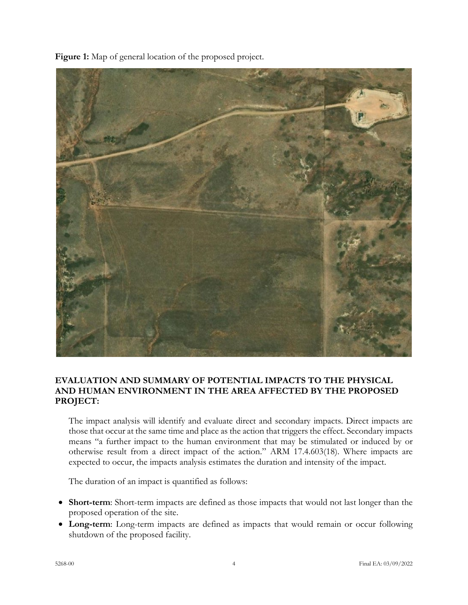

**Figure 1:** Map of general location of the proposed project.

# **EVALUATION AND SUMMARY OF POTENTIAL IMPACTS TO THE PHYSICAL AND HUMAN ENVIRONMENT IN THE AREA AFFECTED BY THE PROPOSED PROJECT:**

The impact analysis will identify and evaluate direct and secondary impacts. Direct impacts are those that occur at the same time and place as the action that triggers the effect. Secondary impacts means "a further impact to the human environment that may be stimulated or induced by or otherwise result from a direct impact of the action." ARM 17.4.603(18). Where impacts are expected to occur, the impacts analysis estimates the duration and intensity of the impact.

The duration of an impact is quantified as follows:

- **Short-term**: Short-term impacts are defined as those impacts that would not last longer than the proposed operation of the site.
- **Long-term**: Long-term impacts are defined as impacts that would remain or occur following shutdown of the proposed facility.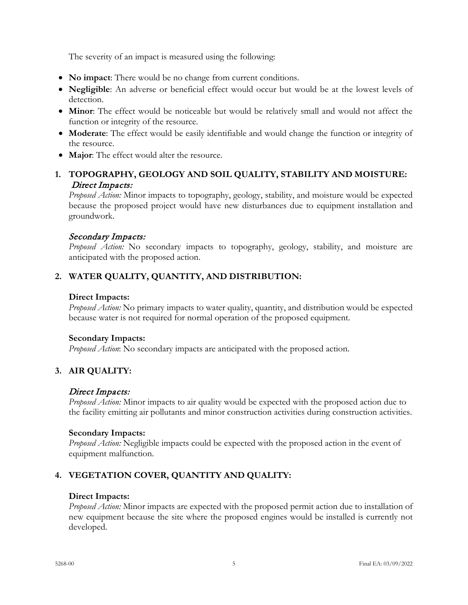The severity of an impact is measured using the following:

- **No impact**: There would be no change from current conditions.
- **Negligible**: An adverse or beneficial effect would occur but would be at the lowest levels of detection.
- **Minor**: The effect would be noticeable but would be relatively small and would not affect the function or integrity of the resource.
- **Moderate**: The effect would be easily identifiable and would change the function or integrity of the resource.
- **Major**: The effect would alter the resource.

# **1. TOPOGRAPHY, GEOLOGY AND SOIL QUALITY, STABILITY AND MOISTURE:**  Direct Impacts:

*Proposed Action:* Minor impacts to topography, geology, stability, and moisture would be expected because the proposed project would have new disturbances due to equipment installation and groundwork.

# Secondary Impacts:

*Proposed Action:* No secondary impacts to topography, geology, stability, and moisture are anticipated with the proposed action.

# **2. WATER QUALITY, QUANTITY, AND DISTRIBUTION:**

# **Direct Impacts:**

*Proposed Action:* No primary impacts to water quality, quantity, and distribution would be expected because water is not required for normal operation of the proposed equipment.

# **Secondary Impacts:**

*Proposed Action*: No secondary impacts are anticipated with the proposed action.

# **3. AIR QUALITY:**

# Direct Impacts:

*Proposed Action:* Minor impacts to air quality would be expected with the proposed action due to the facility emitting air pollutants and minor construction activities during construction activities.

# **Secondary Impacts:**

*Proposed Action:* Negligible impacts could be expected with the proposed action in the event of equipment malfunction.

# **4. VEGETATION COVER, QUANTITY AND QUALITY:**

# **Direct Impacts:**

*Proposed Action:* Minor impacts are expected with the proposed permit action due to installation of new equipment because the site where the proposed engines would be installed is currently not developed.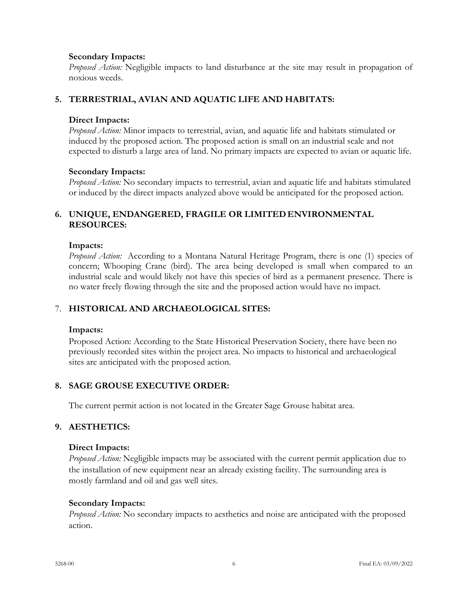## **Secondary Impacts:**

*Proposed Action:* Negligible impacts to land disturbance at the site may result in propagation of noxious weeds.

# **5. TERRESTRIAL, AVIAN AND AQUATIC LIFE AND HABITATS:**

## **Direct Impacts:**

*Proposed Action:* Minor impacts to terrestrial, avian, and aquatic life and habitats stimulated or induced by the proposed action. The proposed action is small on an industrial scale and not expected to disturb a large area of land. No primary impacts are expected to avian or aquatic life.

## **Secondary Impacts:**

*Proposed Action:* No secondary impacts to terrestrial, avian and aquatic life and habitats stimulated or induced by the direct impacts analyzed above would be anticipated for the proposed action.

# **6. UNIQUE, ENDANGERED, FRAGILE OR LIMITEDENVIRONMENTAL RESOURCES:**

#### **Impacts:**

*Proposed Action:* According to a Montana Natural Heritage Program, there is one (1) species of concern; Whooping Crane (bird). The area being developed is small when compared to an industrial scale and would likely not have this species of bird as a permanent presence. There is no water freely flowing through the site and the proposed action would have no impact.

# 7. **HISTORICAL AND ARCHAEOLOGICAL SITES:**

#### **Impacts:**

Proposed Action: According to the State Historical Preservation Society, there have been no previously recorded sites within the project area. No impacts to historical and archaeological sites are anticipated with the proposed action.

# **8. SAGE GROUSE EXECUTIVE ORDER:**

The current permit action is not located in the Greater Sage Grouse habitat area.

# **9. AESTHETICS:**

#### **Direct Impacts:**

*Proposed Action:* Negligible impacts may be associated with the current permit application due to the installation of new equipment near an already existing facility. The surrounding area is mostly farmland and oil and gas well sites.

#### **Secondary Impacts:**

*Proposed Action:* No secondary impacts to aesthetics and noise are anticipated with the proposed action.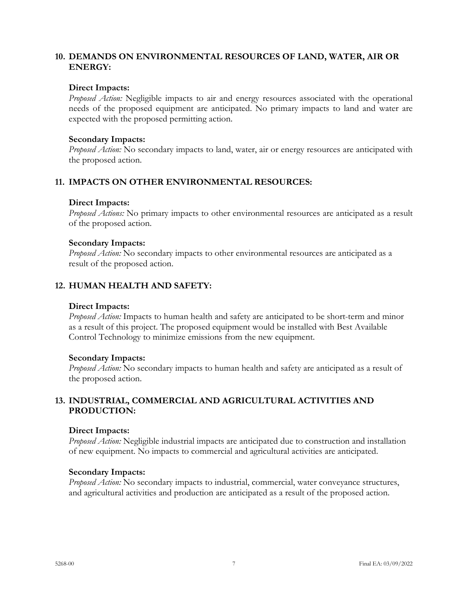# **10. DEMANDS ON ENVIRONMENTAL RESOURCES OF LAND, WATER, AIR OR ENERGY:**

#### **Direct Impacts:**

*Proposed Action:* Negligible impacts to air and energy resources associated with the operational needs of the proposed equipment are anticipated. No primary impacts to land and water are expected with the proposed permitting action.

#### **Secondary Impacts:**

*Proposed Action:* No secondary impacts to land, water, air or energy resources are anticipated with the proposed action.

# **11. IMPACTS ON OTHER ENVIRONMENTAL RESOURCES:**

#### **Direct Impacts:**

*Proposed Actions:* No primary impacts to other environmental resources are anticipated as a result of the proposed action.

#### **Secondary Impacts:**

*Proposed Action:* No secondary impacts to other environmental resources are anticipated as a result of the proposed action.

# **12. HUMAN HEALTH AND SAFETY:**

#### **Direct Impacts:**

*Proposed Action:* Impacts to human health and safety are anticipated to be short-term and minor as a result of this project. The proposed equipment would be installed with Best Available Control Technology to minimize emissions from the new equipment.

#### **Secondary Impacts:**

*Proposed Action:* No secondary impacts to human health and safety are anticipated as a result of the proposed action.

# **13. INDUSTRIAL, COMMERCIAL AND AGRICULTURAL ACTIVITIES AND PRODUCTION:**

#### **Direct Impacts:**

*Proposed Action:* Negligible industrial impacts are anticipated due to construction and installation of new equipment. No impacts to commercial and agricultural activities are anticipated.

#### **Secondary Impacts:**

*Proposed Action:* No secondary impacts to industrial, commercial, water conveyance structures, and agricultural activities and production are anticipated as a result of the proposed action.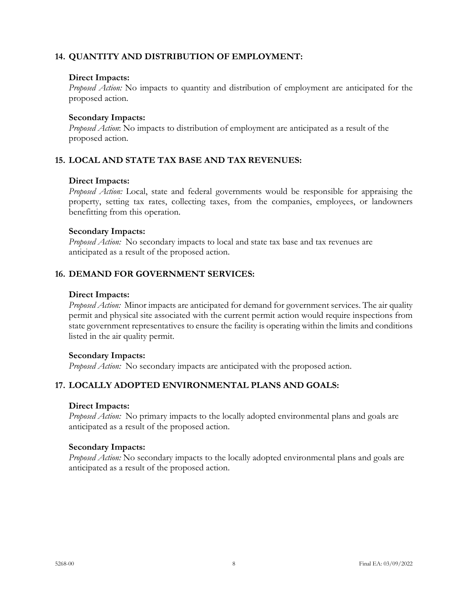# **14. QUANTITY AND DISTRIBUTION OF EMPLOYMENT:**

## **Direct Impacts:**

*Proposed Action:* No impacts to quantity and distribution of employment are anticipated for the proposed action.

## **Secondary Impacts:**

*Proposed Action*: No impacts to distribution of employment are anticipated as a result of the proposed action.

# **15. LOCAL AND STATE TAX BASE AND TAX REVENUES:**

#### **Direct Impacts:**

*Proposed Action:* Local, state and federal governments would be responsible for appraising the property, setting tax rates, collecting taxes, from the companies, employees, or landowners benefitting from this operation.

#### **Secondary Impacts:**

*Proposed Action:* No secondary impacts to local and state tax base and tax revenues are anticipated as a result of the proposed action.

## **16. DEMAND FOR GOVERNMENT SERVICES:**

#### **Direct Impacts:**

*Proposed Action:* Minor impacts are anticipated for demand for government services. The air quality permit and physical site associated with the current permit action would require inspections from state government representatives to ensure the facility is operating within the limits and conditions listed in the air quality permit.

#### **Secondary Impacts:**

*Proposed Action:* No secondary impacts are anticipated with the proposed action.

# **17. LOCALLY ADOPTED ENVIRONMENTAL PLANS AND GOALS:**

#### **Direct Impacts:**

*Proposed Action:* No primary impacts to the locally adopted environmental plans and goals are anticipated as a result of the proposed action.

#### **Secondary Impacts:**

*Proposed Action:* No secondary impacts to the locally adopted environmental plans and goals are anticipated as a result of the proposed action.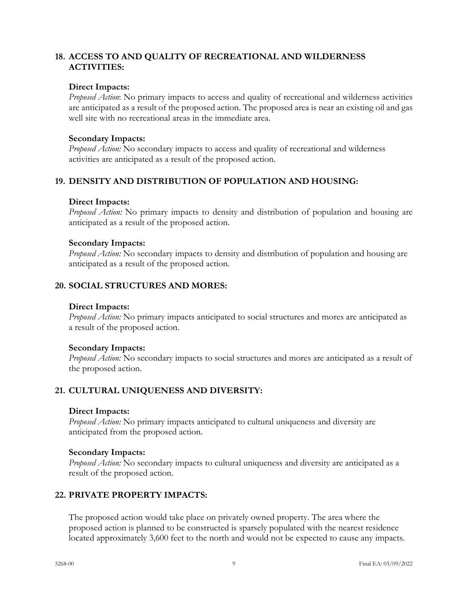# **18. ACCESS TO AND QUALITY OF RECREATIONAL AND WILDERNESS ACTIVITIES:**

#### **Direct Impacts:**

*Proposed Action*: No primary impacts to access and quality of recreational and wilderness activities are anticipated as a result of the proposed action. The proposed area is near an existing oil and gas well site with no recreational areas in the immediate area.

#### **Secondary Impacts:**

*Proposed Action:* No secondary impacts to access and quality of recreational and wilderness activities are anticipated as a result of the proposed action.

# **19. DENSITY AND DISTRIBUTION OF POPULATION AND HOUSING:**

## **Direct Impacts:**

*Proposed Action:* No primary impacts to density and distribution of population and housing are anticipated as a result of the proposed action.

## **Secondary Impacts:**

*Proposed Action:* No secondary impacts to density and distribution of population and housing are anticipated as a result of the proposed action.

# **20. SOCIAL STRUCTURES AND MORES:**

## **Direct Impacts:**

*Proposed Action:* No primary impacts anticipated to social structures and mores are anticipated as a result of the proposed action.

#### **Secondary Impacts:**

*Proposed Action:* No secondary impacts to social structures and mores are anticipated as a result of the proposed action.

# **21. CULTURAL UNIQUENESS AND DIVERSITY:**

#### **Direct Impacts:**

*Proposed Action:* No primary impacts anticipated to cultural uniqueness and diversity are anticipated from the proposed action.

# **Secondary Impacts:**

*Proposed Action:* No secondary impacts to cultural uniqueness and diversity are anticipated as a result of the proposed action.

# **22. PRIVATE PROPERTY IMPACTS:**

The proposed action would take place on privately owned property. The area where the proposed action is planned to be constructed is sparsely populated with the nearest residence located approximately 3,600 feet to the north and would not be expected to cause any impacts.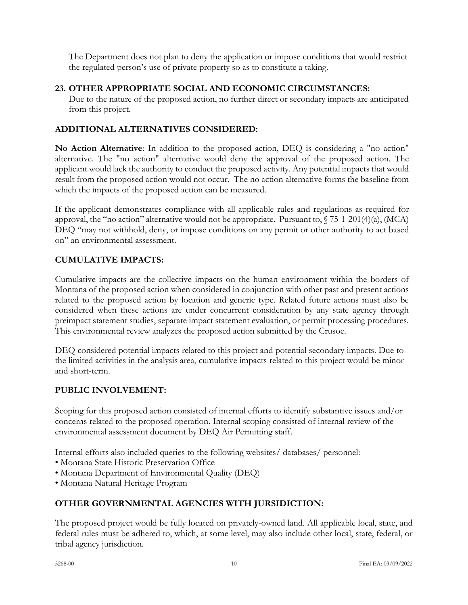The Department does not plan to deny the application or impose conditions that would restrict the regulated person's use of private property so as to constitute a taking.

# **23. OTHER APPROPRIATE SOCIAL AND ECONOMIC CIRCUMSTANCES:**

Due to the nature of the proposed action, no further direct or secondary impacts are anticipated from this project.

# **ADDITIONAL ALTERNATIVES CONSIDERED:**

**No Action Alternative**: In addition to the proposed action, DEQ is considering a "no action" alternative. The "no action" alternative would deny the approval of the proposed action. The applicant would lack the authority to conduct the proposed activity. Any potential impacts that would result from the proposed action would not occur. The no action alternative forms the baseline from which the impacts of the proposed action can be measured.

If the applicant demonstrates compliance with all applicable rules and regulations as required for approval, the "no action" alternative would not be appropriate. Pursuant to, § 75-1-201(4)(a), (MCA) DEQ "may not withhold, deny, or impose conditions on any permit or other authority to act based on" an environmental assessment.

# **CUMULATIVE IMPACTS:**

Cumulative impacts are the collective impacts on the human environment within the borders of Montana of the proposed action when considered in conjunction with other past and present actions related to the proposed action by location and generic type. Related future actions must also be considered when these actions are under concurrent consideration by any state agency through preimpact statement studies, separate impact statement evaluation, or permit processing procedures. This environmental review analyzes the proposed action submitted by the Crusoe.

DEQ considered potential impacts related to this project and potential secondary impacts. Due to the limited activities in the analysis area, cumulative impacts related to this project would be minor and short-term.

# **PUBLIC INVOLVEMENT:**

Scoping for this proposed action consisted of internal efforts to identify substantive issues and/or concerns related to the proposed operation. Internal scoping consisted of internal review of the environmental assessment document by DEQ Air Permitting staff.

Internal efforts also included queries to the following websites/ databases/ personnel:

- Montana State Historic Preservation Office
- Montana Department of Environmental Quality (DEQ)
- Montana Natural Heritage Program

# **OTHER GOVERNMENTAL AGENCIES WITH JURSIDICTION:**

The proposed project would be fully located on privately-owned land. All applicable local, state, and federal rules must be adhered to, which, at some level, may also include other local, state, federal, or tribal agency jurisdiction.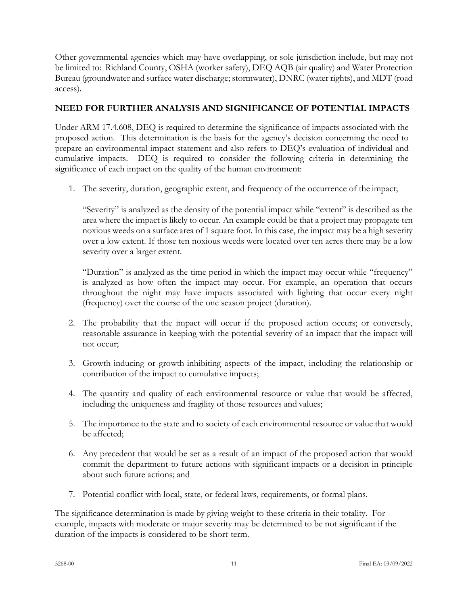Other governmental agencies which may have overlapping, or sole jurisdiction include, but may not be limited to: Richland County, OSHA (worker safety), DEQ AQB (air quality) and Water Protection Bureau (groundwater and surface water discharge; stormwater), DNRC (water rights), and MDT (road access).

# **NEED FOR FURTHER ANALYSIS AND SIGNIFICANCE OF POTENTIAL IMPACTS**

Under ARM 17.4.608, DEQ is required to determine the significance of impacts associated with the proposed action. This determination is the basis for the agency's decision concerning the need to prepare an environmental impact statement and also refers to DEQ's evaluation of individual and cumulative impacts. DEQ is required to consider the following criteria in determining the significance of each impact on the quality of the human environment:

1. The severity, duration, geographic extent, and frequency of the occurrence of the impact;

"Severity" is analyzed as the density of the potential impact while "extent" is described as the area where the impact is likely to occur. An example could be that a project may propagate ten noxious weeds on a surface area of 1 square foot. In this case, the impact may be a high severity over a low extent. If those ten noxious weeds were located over ten acres there may be a low severity over a larger extent.

"Duration" is analyzed as the time period in which the impact may occur while "frequency" is analyzed as how often the impact may occur. For example, an operation that occurs throughout the night may have impacts associated with lighting that occur every night (frequency) over the course of the one season project (duration).

- 2. The probability that the impact will occur if the proposed action occurs; or conversely, reasonable assurance in keeping with the potential severity of an impact that the impact will not occur;
- 3. Growth-inducing or growth-inhibiting aspects of the impact, including the relationship or contribution of the impact to cumulative impacts;
- 4. The quantity and quality of each environmental resource or value that would be affected, including the uniqueness and fragility of those resources and values;
- 5. The importance to the state and to society of each environmental resource or value that would be affected;
- 6. Any precedent that would be set as a result of an impact of the proposed action that would commit the department to future actions with significant impacts or a decision in principle about such future actions; and
- 7. Potential conflict with local, state, or federal laws, requirements, or formal plans.

The significance determination is made by giving weight to these criteria in their totality. For example, impacts with moderate or major severity may be determined to be not significant if the duration of the impacts is considered to be short-term.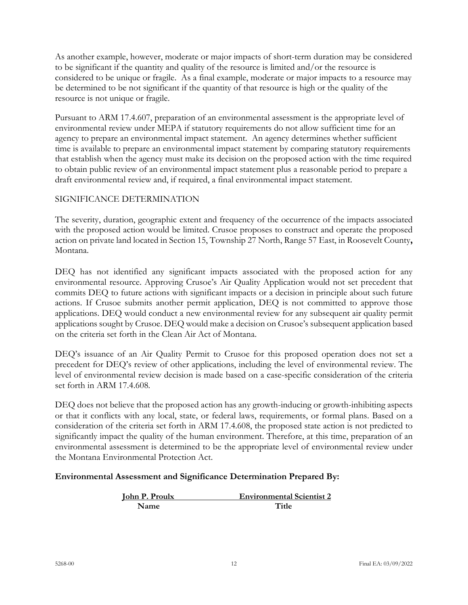As another example, however, moderate or major impacts of short-term duration may be considered to be significant if the quantity and quality of the resource is limited and/or the resource is considered to be unique or fragile. As a final example, moderate or major impacts to a resource may be determined to be not significant if the quantity of that resource is high or the quality of the resource is not unique or fragile.

Pursuant to ARM 17.4.607, preparation of an environmental assessment is the appropriate level of environmental review under MEPA if statutory requirements do not allow sufficient time for an agency to prepare an environmental impact statement. An agency determines whether sufficient time is available to prepare an environmental impact statement by comparing statutory requirements that establish when the agency must make its decision on the proposed action with the time required to obtain public review of an environmental impact statement plus a reasonable period to prepare a draft environmental review and, if required, a final environmental impact statement.

# SIGNIFICANCE DETERMINATION

The severity, duration, geographic extent and frequency of the occurrence of the impacts associated with the proposed action would be limited. Crusoe proposes to construct and operate the proposed action on private land located in Section 15, Township 27 North, Range 57 East, in Roosevelt County**,**  Montana.

DEQ has not identified any significant impacts associated with the proposed action for any environmental resource. Approving Crusoe's Air Quality Application would not set precedent that commits DEQ to future actions with significant impacts or a decision in principle about such future actions. If Crusoe submits another permit application, DEQ is not committed to approve those applications. DEQ would conduct a new environmental review for any subsequent air quality permit applications sought by Crusoe. DEQ would make a decision on Crusoe's subsequent application based on the criteria set forth in the Clean Air Act of Montana.

DEQ's issuance of an Air Quality Permit to Crusoe for this proposed operation does not set a precedent for DEQ's review of other applications, including the level of environmental review. The level of environmental review decision is made based on a case-specific consideration of the criteria set forth in ARM 17.4.608.

DEQ does not believe that the proposed action has any growth-inducing or growth-inhibiting aspects or that it conflicts with any local, state, or federal laws, requirements, or formal plans. Based on a consideration of the criteria set forth in ARM 17.4.608, the proposed state action is not predicted to significantly impact the quality of the human environment. Therefore, at this time, preparation of an environmental assessment is determined to be the appropriate level of environmental review under the Montana Environmental Protection Act.

# **Environmental Assessment and Significance Determination Prepared By:**

| <b>John P. Proulx</b> | <b>Environmental Scientist 2</b> |
|-----------------------|----------------------------------|
| Name                  | Title                            |